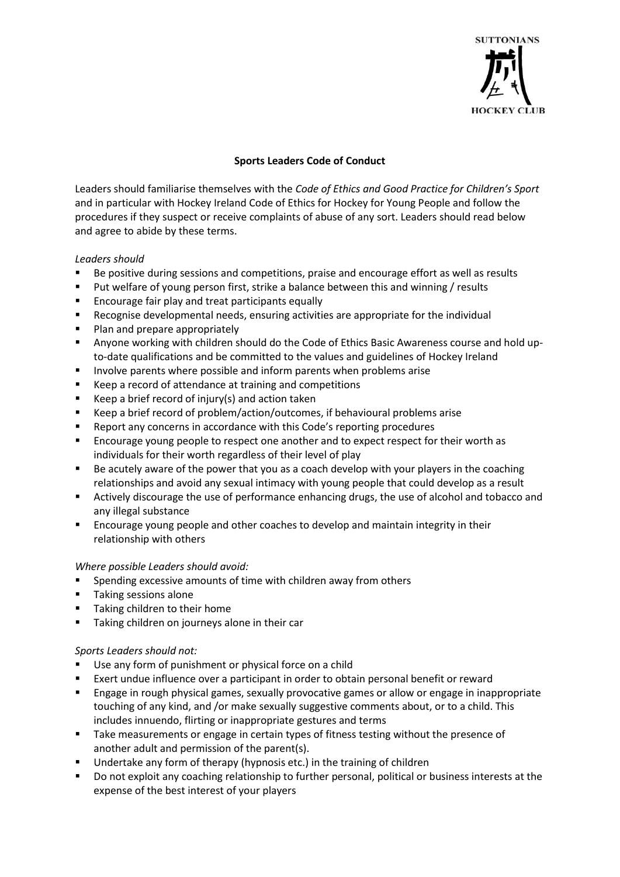

## **Sports Leaders Code of Conduct**

Leaders should familiarise themselves with the *Code of Ethics and Good Practice for Children's Sport*  and in particular with Hockey Ireland Code of Ethics for Hockey for Young People and follow the procedures if they suspect or receive complaints of abuse of any sort. Leaders should read below and agree to abide by these terms.

## *Leaders should*

- Be positive during sessions and competitions, praise and encourage effort as well as results
- Put welfare of young person first, strike a balance between this and winning / results
- Encourage fair play and treat participants equally
- Recognise developmental needs, ensuring activities are appropriate for the individual
- Plan and prepare appropriately
- **E** Anyone working with children should do the Code of Ethics Basic Awareness course and hold upto-date qualifications and be committed to the values and guidelines of Hockey Ireland
- Involve parents where possible and inform parents when problems arise
- Keep a record of attendance at training and competitions
- Keep a brief record of injury(s) and action taken
- Keep a brief record of problem/action/outcomes, if behavioural problems arise
- Report any concerns in accordance with this Code's reporting procedures
- Encourage young people to respect one another and to expect respect for their worth as individuals for their worth regardless of their level of play
- Be acutely aware of the power that you as a coach develop with your players in the coaching relationships and avoid any sexual intimacy with young people that could develop as a result
- Actively discourage the use of performance enhancing drugs, the use of alcohol and tobacco and any illegal substance
- Encourage young people and other coaches to develop and maintain integrity in their relationship with others

## *Where possible Leaders should avoid:*

- Spending excessive amounts of time with children away from others
- Taking sessions alone
- Taking children to their home
- Taking children on journeys alone in their car

## *Sports Leaders should not:*

- Use any form of punishment or physical force on a child
- Exert undue influence over a participant in order to obtain personal benefit or reward
- **Engage in rough physical games, sexually provocative games or allow or engage in inappropriate** touching of any kind, and /or make sexually suggestive comments about, or to a child. This includes innuendo, flirting or inappropriate gestures and terms
- Take measurements or engage in certain types of fitness testing without the presence of another adult and permission of the parent(s).
- Undertake any form of therapy (hypnosis etc.) in the training of children
- Do not exploit any coaching relationship to further personal, political or business interests at the expense of the best interest of your players